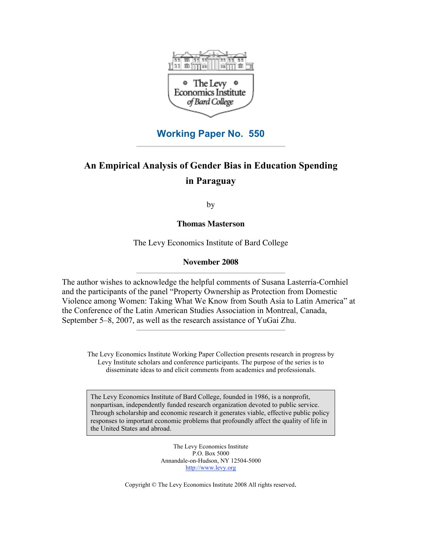

## **Working Paper No. 550**

## **An Empirical Analysis of Gender Bias in Education Spending in Paraguay**

by

**Thomas Masterson**

The Levy Economics Institute of Bard College

## **November 2008**

The author wishes to acknowledge the helpful comments of Susana Lasterría-Cornhiel and the participants of the panel "Property Ownership as Protection from Domestic Violence among Women: Taking What We Know from South Asia to Latin America" at the Conference of the Latin American Studies Association in Montreal, Canada, September 5–8, 2007, as well as the research assistance of YuGai Zhu.

The Levy Economics Institute Working Paper Collection presents research in progress by Levy Institute scholars and conference participants. The purpose of the series is to disseminate ideas to and elicit comments from academics and professionals.

The Levy Economics Institute of Bard College, founded in 1986, is a nonprofit, nonpartisan, independently funded research organization devoted to public service. Through scholarship and economic research it generates viable, effective public policy responses to important economic problems that profoundly affect the quality of life in the United States and abroad.

> The Levy Economics Institute P.O. Box 5000 Annandale-on-Hudson, NY 12504-5000 http://www.levy.org

Copyright © The Levy Economics Institute 2008 All rights reserved.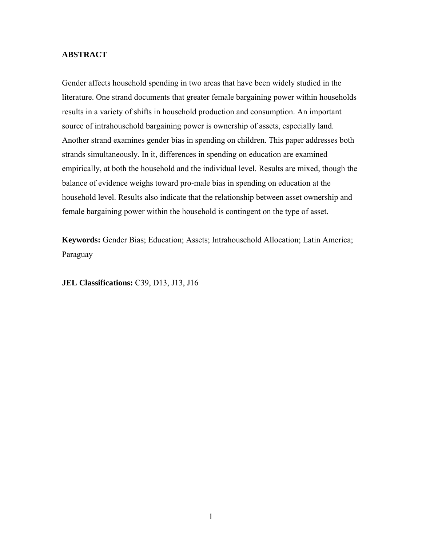## **ABSTRACT**

Gender affects household spending in two areas that have been widely studied in the literature. One strand documents that greater female bargaining power within households results in a variety of shifts in household production and consumption. An important source of intrahousehold bargaining power is ownership of assets, especially land. Another strand examines gender bias in spending on children. This paper addresses both strands simultaneously. In it, differences in spending on education are examined empirically, at both the household and the individual level. Results are mixed, though the balance of evidence weighs toward pro-male bias in spending on education at the household level. Results also indicate that the relationship between asset ownership and female bargaining power within the household is contingent on the type of asset.

**Keywords:** Gender Bias; Education; Assets; Intrahousehold Allocation; Latin America; Paraguay

**JEL Classifications:** C39, D13, J13, J16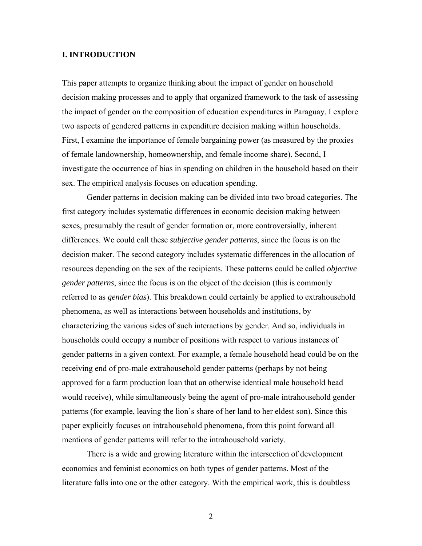### **I. INTRODUCTION**

This paper attempts to organize thinking about the impact of gender on household decision making processes and to apply that organized framework to the task of assessing the impact of gender on the composition of education expenditures in Paraguay. I explore two aspects of gendered patterns in expenditure decision making within households. First, I examine the importance of female bargaining power (as measured by the proxies of female landownership, homeownership, and female income share). Second, I investigate the occurrence of bias in spending on children in the household based on their sex. The empirical analysis focuses on education spending.

Gender patterns in decision making can be divided into two broad categories. The first category includes systematic differences in economic decision making between sexes, presumably the result of gender formation or, more controversially, inherent differences. We could call these *subjective gender patterns*, since the focus is on the decision maker. The second category includes systematic differences in the allocation of resources depending on the sex of the recipients. These patterns could be called *objective gender patterns*, since the focus is on the object of the decision (this is commonly referred to as *gender bias*). This breakdown could certainly be applied to extrahousehold phenomena, as well as interactions between households and institutions, by characterizing the various sides of such interactions by gender. And so, individuals in households could occupy a number of positions with respect to various instances of gender patterns in a given context. For example, a female household head could be on the receiving end of pro-male extrahousehold gender patterns (perhaps by not being approved for a farm production loan that an otherwise identical male household head would receive), while simultaneously being the agent of pro-male intrahousehold gender patterns (for example, leaving the lion's share of her land to her eldest son). Since this paper explicitly focuses on intrahousehold phenomena, from this point forward all mentions of gender patterns will refer to the intrahousehold variety.

There is a wide and growing literature within the intersection of development economics and feminist economics on both types of gender patterns. Most of the literature falls into one or the other category. With the empirical work, this is doubtless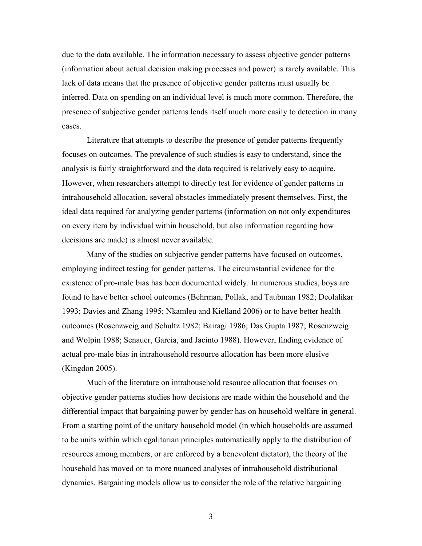due to the data available. The information necessary to assess objective gender patterns (information about actual decision making processes and power) is rarely available. This lack of data means that the presence of objective gender patterns must usually be inferred. Data on spending on an individual level is much more common. Therefore, the presence of subjective gender patterns lends itself much more easily to detection in many cases.

Literature that attempts to describe the presence of gender patterns frequently focuses on outcomes. The prevalence of such studies is easy to understand, since the analysis is fairly straightforward and the data required is relatively easy to acquire. However, when researchers attempt to directly test for evidence of gender patterns in intrahousehold allocation, several obstacles immediately present themselves. First, the ideal data required for analyzing gender patterns (information on not only expenditures on every item by individual within household, but also information regarding how decisions are made) is almost never available.

Many of the studies on subjective gender patterns have focused on outcomes, employing indirect testing for gender patterns. The circumstantial evidence for the existence of pro-male bias has been documented widely. In numerous studies, boys are found to have better school outcomes (Behrman, Pollak, and Taubman 1982; Deolalikar 1993; Davies and Zhang 1995; Nkamleu and Kielland 2006) or to have better health outcomes (Rosenzweig and Schultz 1982; Bairagi 1986; Das Gupta 1987; Rosenzweig and Wolpin 1988; Senauer, Garcia, and Jacinto 1988). However, finding evidence of actual pro-male bias in intrahousehold resource allocation has been more elusive (Kingdon 2005).

Much of the literature on intrahousehold resource allocation that focuses on objective gender patterns studies how decisions are made within the household and the differential impact that bargaining power by gender has on household welfare in general. From a starting point of the unitary household model (in which households are assumed to be units within which egalitarian principles automatically apply to the distribution of resources among members, or are enforced by a benevolent dictator), the theory of the household has moved on to more nuanced analyses of intrahousehold distributional dynamics. Bargaining models allow us to consider the role of the relative bargaining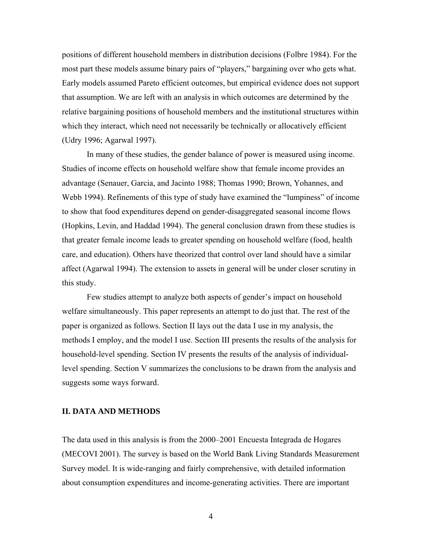positions of different household members in distribution decisions (Folbre 1984). For the most part these models assume binary pairs of "players," bargaining over who gets what. Early models assumed Pareto efficient outcomes, but empirical evidence does not support that assumption. We are left with an analysis in which outcomes are determined by the relative bargaining positions of household members and the institutional structures within which they interact, which need not necessarily be technically or allocatively efficient (Udry 1996; Agarwal 1997).

In many of these studies, the gender balance of power is measured using income. Studies of income effects on household welfare show that female income provides an advantage (Senauer, Garcia, and Jacinto 1988; Thomas 1990; Brown, Yohannes, and Webb 1994). Refinements of this type of study have examined the "lumpiness" of income to show that food expenditures depend on gender-disaggregated seasonal income flows (Hopkins, Levin, and Haddad 1994). The general conclusion drawn from these studies is that greater female income leads to greater spending on household welfare (food, health care, and education). Others have theorized that control over land should have a similar affect (Agarwal 1994). The extension to assets in general will be under closer scrutiny in this study.

Few studies attempt to analyze both aspects of gender's impact on household welfare simultaneously. This paper represents an attempt to do just that. The rest of the paper is organized as follows. Section II lays out the data I use in my analysis, the methods I employ, and the model I use. Section III presents the results of the analysis for household-level spending. Section IV presents the results of the analysis of individuallevel spending. Section V summarizes the conclusions to be drawn from the analysis and suggests some ways forward.

#### **II. DATA AND METHODS**

The data used in this analysis is from the 2000–2001 Encuesta Integrada de Hogares (MECOVI 2001). The survey is based on the World Bank Living Standards Measurement Survey model. It is wide-ranging and fairly comprehensive, with detailed information about consumption expenditures and income-generating activities. There are important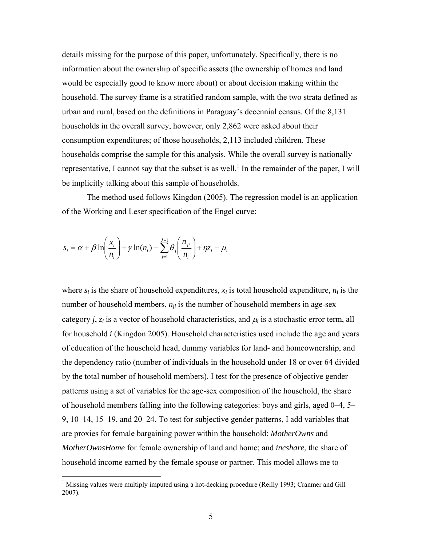details missing for the purpose of this paper, unfortunately. Specifically, there is no information about the ownership of specific assets (the ownership of homes and land would be especially good to know more about) or about decision making within the household. The survey frame is a stratified random sample, with the two strata defined as urban and rural, based on the definitions in Paraguay's decennial census. Of the 8,131 households in the overall survey, however, only 2,862 were asked about their consumption expenditures; of those households, 2,113 included children. These households comprise the sample for this analysis. While the overall survey is nationally representative, I cannot say that the subset is as well.<sup>1</sup> In the remainder of the paper, I will be implicitly talking about this sample of households.

The method used follows Kingdon (2005). The regression model is an application of the Working and Leser specification of the Engel curve:

$$
s_i = \alpha + \beta \ln \left( \frac{x_i}{n_i} \right) + \gamma \ln(n_i) + \sum_{j=1}^{J-1} \theta_j \left( \frac{n_{ji}}{n_i} \right) + \eta z_i + \mu_i
$$

where  $s_i$  is the share of household expenditures,  $x_i$  is total household expenditure,  $n_i$  is the number of household members,  $n_{ij}$  is the number of household members in age-sex category *j*,  $z_i$  is a vector of household characteristics, and  $\mu_i$  is a stochastic error term, all for household *i* (Kingdon 2005). Household characteristics used include the age and years of education of the household head, dummy variables for land- and homeownership, and the dependency ratio (number of individuals in the household under 18 or over 64 divided by the total number of household members). I test for the presence of objective gender patterns using a set of variables for the age-sex composition of the household, the share of household members falling into the following categories: boys and girls, aged 0–4, 5– 9, 10–14, 15–19, and 20–24. To test for subjective gender patterns, I add variables that are proxies for female bargaining power within the household: *MotherOwns* and *MotherOwnsHome* for female ownership of land and home; and *incshare*, the share of household income earned by the female spouse or partner. This model allows me to

<sup>&</sup>lt;sup>1</sup> Missing values were multiply imputed using a hot-decking procedure (Reilly 1993; Cranmer and Gill 2007).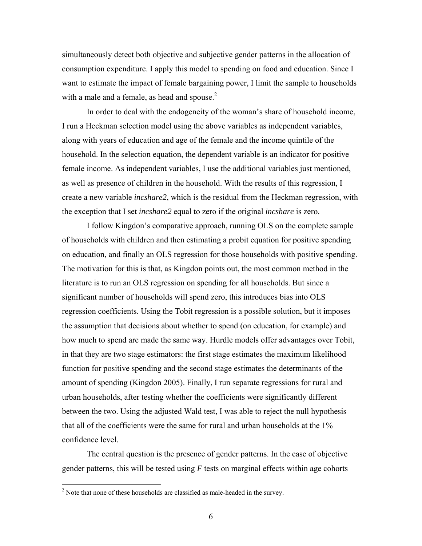simultaneously detect both objective and subjective gender patterns in the allocation of consumption expenditure. I apply this model to spending on food and education. Since I want to estimate the impact of female bargaining power, I limit the sample to households with a male and a female, as head and spouse. $<sup>2</sup>$ </sup>

In order to deal with the endogeneity of the woman's share of household income, I run a Heckman selection model using the above variables as independent variables, along with years of education and age of the female and the income quintile of the household. In the selection equation, the dependent variable is an indicator for positive female income. As independent variables, I use the additional variables just mentioned, as well as presence of children in the household. With the results of this regression, I create a new variable *incshare2*, which is the residual from the Heckman regression, with the exception that I set *incshare2* equal to zero if the original *incshare* is zero.

I follow Kingdon's comparative approach, running OLS on the complete sample of households with children and then estimating a probit equation for positive spending on education, and finally an OLS regression for those households with positive spending. The motivation for this is that, as Kingdon points out, the most common method in the literature is to run an OLS regression on spending for all households. But since a significant number of households will spend zero, this introduces bias into OLS regression coefficients. Using the Tobit regression is a possible solution, but it imposes the assumption that decisions about whether to spend (on education, for example) and how much to spend are made the same way. Hurdle models offer advantages over Tobit, in that they are two stage estimators: the first stage estimates the maximum likelihood function for positive spending and the second stage estimates the determinants of the amount of spending (Kingdon 2005). Finally, I run separate regressions for rural and urban households, after testing whether the coefficients were significantly different between the two. Using the adjusted Wald test, I was able to reject the null hypothesis that all of the coefficients were the same for rural and urban households at the 1% confidence level.

The central question is the presence of gender patterns. In the case of objective gender patterns, this will be tested using *F* tests on marginal effects within age cohorts—

 $\overline{a}$ 

 $2<sup>2</sup>$  Note that none of these households are classified as male-headed in the survey.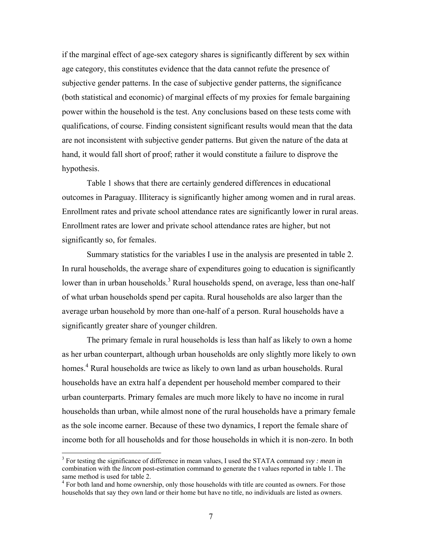if the marginal effect of age-sex category shares is significantly different by sex within age category, this constitutes evidence that the data cannot refute the presence of subjective gender patterns. In the case of subjective gender patterns, the significance (both statistical and economic) of marginal effects of my proxies for female bargaining power within the household is the test. Any conclusions based on these tests come with qualifications, of course. Finding consistent significant results would mean that the data are not inconsistent with subjective gender patterns. But given the nature of the data at hand, it would fall short of proof; rather it would constitute a failure to disprove the hypothesis.

Table 1 shows that there are certainly gendered differences in educational outcomes in Paraguay. Illiteracy is significantly higher among women and in rural areas. Enrollment rates and private school attendance rates are significantly lower in rural areas. Enrollment rates are lower and private school attendance rates are higher, but not significantly so, for females.

Summary statistics for the variables I use in the analysis are presented in table 2. In rural households, the average share of expenditures going to education is significantly lower than in urban households.<sup>3</sup> Rural households spend, on average, less than one-half of what urban households spend per capita. Rural households are also larger than the average urban household by more than one-half of a person. Rural households have a significantly greater share of younger children.

The primary female in rural households is less than half as likely to own a home as her urban counterpart, although urban households are only slightly more likely to own homes.<sup>4</sup> Rural households are twice as likely to own land as urban households. Rural households have an extra half a dependent per household member compared to their urban counterparts. Primary females are much more likely to have no income in rural households than urban, while almost none of the rural households have a primary female as the sole income earner. Because of these two dynamics, I report the female share of income both for all households and for those households in which it is non-zero. In both

 $\overline{a}$ 

<sup>3</sup> For testing the significance of difference in mean values, I used the STATA command *svy : mean* in combination with the *lincom* post-estimation command to generate the t values reported in table 1. The same method is used for table 2.

<sup>&</sup>lt;sup>4</sup> For both land and home ownership, only those households with title are counted as owners. For those households that say they own land or their home but have no title, no individuals are listed as owners.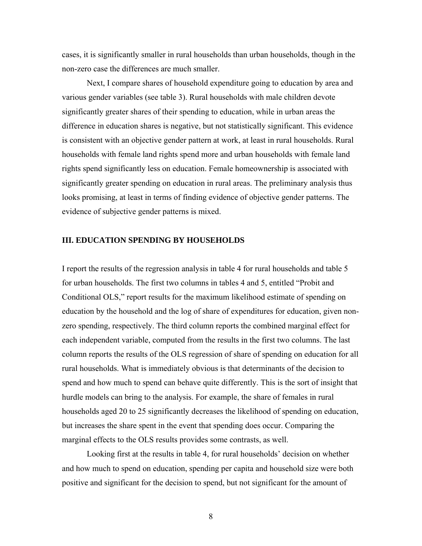cases, it is significantly smaller in rural households than urban households, though in the non-zero case the differences are much smaller.

Next, I compare shares of household expenditure going to education by area and various gender variables (see table 3). Rural households with male children devote significantly greater shares of their spending to education, while in urban areas the difference in education shares is negative, but not statistically significant. This evidence is consistent with an objective gender pattern at work, at least in rural households. Rural households with female land rights spend more and urban households with female land rights spend significantly less on education. Female homeownership is associated with significantly greater spending on education in rural areas. The preliminary analysis thus looks promising, at least in terms of finding evidence of objective gender patterns. The evidence of subjective gender patterns is mixed.

### **III. EDUCATION SPENDING BY HOUSEHOLDS**

I report the results of the regression analysis in table 4 for rural households and table 5 for urban households. The first two columns in tables 4 and 5, entitled "Probit and Conditional OLS," report results for the maximum likelihood estimate of spending on education by the household and the log of share of expenditures for education, given nonzero spending, respectively. The third column reports the combined marginal effect for each independent variable, computed from the results in the first two columns. The last column reports the results of the OLS regression of share of spending on education for all rural households. What is immediately obvious is that determinants of the decision to spend and how much to spend can behave quite differently. This is the sort of insight that hurdle models can bring to the analysis. For example, the share of females in rural households aged 20 to 25 significantly decreases the likelihood of spending on education, but increases the share spent in the event that spending does occur. Comparing the marginal effects to the OLS results provides some contrasts, as well.

Looking first at the results in table 4, for rural households' decision on whether and how much to spend on education, spending per capita and household size were both positive and significant for the decision to spend, but not significant for the amount of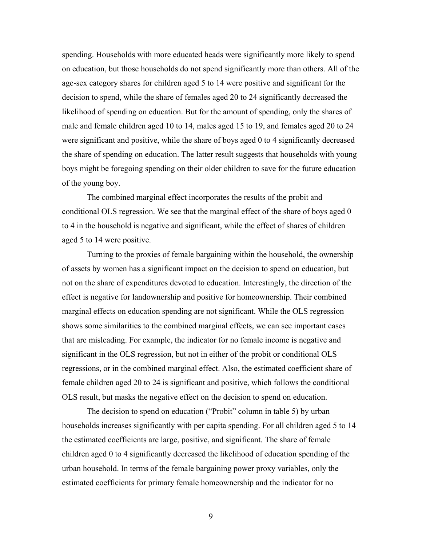spending. Households with more educated heads were significantly more likely to spend on education, but those households do not spend significantly more than others. All of the age-sex category shares for children aged 5 to 14 were positive and significant for the decision to spend, while the share of females aged 20 to 24 significantly decreased the likelihood of spending on education. But for the amount of spending, only the shares of male and female children aged 10 to 14, males aged 15 to 19, and females aged 20 to 24 were significant and positive, while the share of boys aged 0 to 4 significantly decreased the share of spending on education. The latter result suggests that households with young boys might be foregoing spending on their older children to save for the future education of the young boy.

The combined marginal effect incorporates the results of the probit and conditional OLS regression. We see that the marginal effect of the share of boys aged 0 to 4 in the household is negative and significant, while the effect of shares of children aged 5 to 14 were positive.

Turning to the proxies of female bargaining within the household, the ownership of assets by women has a significant impact on the decision to spend on education, but not on the share of expenditures devoted to education. Interestingly, the direction of the effect is negative for landownership and positive for homeownership. Their combined marginal effects on education spending are not significant. While the OLS regression shows some similarities to the combined marginal effects, we can see important cases that are misleading. For example, the indicator for no female income is negative and significant in the OLS regression, but not in either of the probit or conditional OLS regressions, or in the combined marginal effect. Also, the estimated coefficient share of female children aged 20 to 24 is significant and positive, which follows the conditional OLS result, but masks the negative effect on the decision to spend on education.

The decision to spend on education ("Probit" column in table 5) by urban households increases significantly with per capita spending. For all children aged 5 to 14 the estimated coefficients are large, positive, and significant. The share of female children aged 0 to 4 significantly decreased the likelihood of education spending of the urban household. In terms of the female bargaining power proxy variables, only the estimated coefficients for primary female homeownership and the indicator for no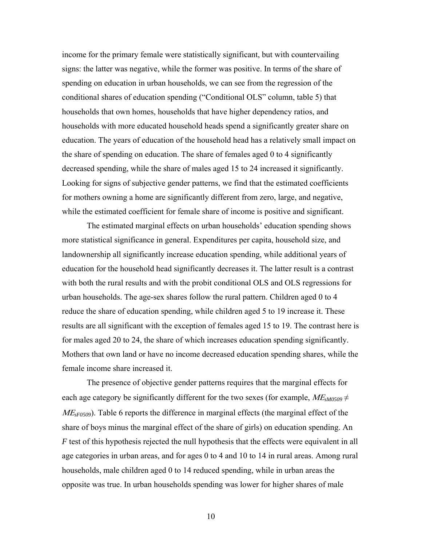income for the primary female were statistically significant, but with countervailing signs: the latter was negative, while the former was positive. In terms of the share of spending on education in urban households, we can see from the regression of the conditional shares of education spending ("Conditional OLS" column, table 5) that households that own homes, households that have higher dependency ratios, and households with more educated household heads spend a significantly greater share on education. The years of education of the household head has a relatively small impact on the share of spending on education. The share of females aged 0 to 4 significantly decreased spending, while the share of males aged 15 to 24 increased it significantly. Looking for signs of subjective gender patterns, we find that the estimated coefficients for mothers owning a home are significantly different from zero, large, and negative, while the estimated coefficient for female share of income is positive and significant.

The estimated marginal effects on urban households' education spending shows more statistical significance in general. Expenditures per capita, household size, and landownership all significantly increase education spending, while additional years of education for the household head significantly decreases it. The latter result is a contrast with both the rural results and with the probit conditional OLS and OLS regressions for urban households. The age-sex shares follow the rural pattern. Children aged 0 to 4 reduce the share of education spending, while children aged 5 to 19 increase it. These results are all significant with the exception of females aged 15 to 19. The contrast here is for males aged 20 to 24, the share of which increases education spending significantly. Mothers that own land or have no income decreased education spending shares, while the female income share increased it.

The presence of objective gender patterns requires that the marginal effects for each age category be significantly different for the two sexes (for example,  $ME_{sM0509} \neq$ ΜΕ*sF0509*). Table 6 reports the difference in marginal effects (the marginal effect of the share of boys minus the marginal effect of the share of girls) on education spending. An *F* test of this hypothesis rejected the null hypothesis that the effects were equivalent in all age categories in urban areas, and for ages 0 to 4 and 10 to 14 in rural areas. Among rural households, male children aged 0 to 14 reduced spending, while in urban areas the opposite was true. In urban households spending was lower for higher shares of male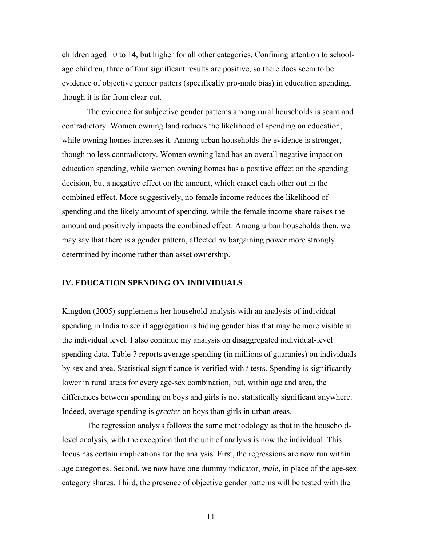children aged 10 to 14, but higher for all other categories. Confining attention to schoolage children, three of four significant results are positive, so there does seem to be evidence of objective gender patters (specifically pro-male bias) in education spending, though it is far from clear-cut.

The evidence for subjective gender patterns among rural households is scant and contradictory. Women owning land reduces the likelihood of spending on education, while owning homes increases it. Among urban households the evidence is stronger, though no less contradictory. Women owning land has an overall negative impact on education spending, while women owning homes has a positive effect on the spending decision, but a negative effect on the amount, which cancel each other out in the combined effect. More suggestively, no female income reduces the likelihood of spending and the likely amount of spending, while the female income share raises the amount and positively impacts the combined effect. Among urban households then, we may say that there is a gender pattern, affected by bargaining power more strongly determined by income rather than asset ownership.

#### **IV. EDUCATION SPENDING ON INDIVIDUALS**

Kingdon (2005) supplements her household analysis with an analysis of individual spending in India to see if aggregation is hiding gender bias that may be more visible at the individual level. I also continue my analysis on disaggregated individual-level spending data. Table 7 reports average spending (in millions of guaranies) on individuals by sex and area. Statistical significance is verified with *t* tests. Spending is significantly lower in rural areas for every age-sex combination, but, within age and area, the differences between spending on boys and girls is not statistically significant anywhere. Indeed, average spending is *greater* on boys than girls in urban areas.

The regression analysis follows the same methodology as that in the householdlevel analysis, with the exception that the unit of analysis is now the individual. This focus has certain implications for the analysis. First, the regressions are now run within age categories. Second, we now have one dummy indicator, *male*, in place of the age-sex category shares. Third, the presence of objective gender patterns will be tested with the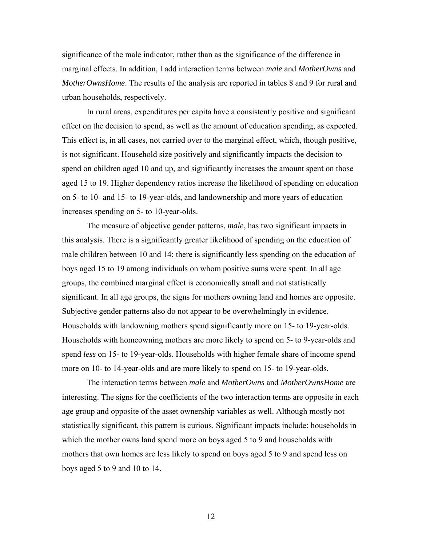significance of the male indicator, rather than as the significance of the difference in marginal effects. In addition, I add interaction terms between *male* and *MotherOwns* and *MotherOwnsHome*. The results of the analysis are reported in tables 8 and 9 for rural and urban households, respectively.

In rural areas, expenditures per capita have a consistently positive and significant effect on the decision to spend, as well as the amount of education spending, as expected. This effect is, in all cases, not carried over to the marginal effect, which, though positive, is not significant. Household size positively and significantly impacts the decision to spend on children aged 10 and up, and significantly increases the amount spent on those aged 15 to 19. Higher dependency ratios increase the likelihood of spending on education on 5- to 10- and 15- to 19-year-olds, and landownership and more years of education increases spending on 5- to 10-year-olds.

The measure of objective gender patterns, *male*, has two significant impacts in this analysis. There is a significantly greater likelihood of spending on the education of male children between 10 and 14; there is significantly less spending on the education of boys aged 15 to 19 among individuals on whom positive sums were spent. In all age groups, the combined marginal effect is economically small and not statistically significant. In all age groups, the signs for mothers owning land and homes are opposite. Subjective gender patterns also do not appear to be overwhelmingly in evidence. Households with landowning mothers spend significantly more on 15- to 19-year-olds. Households with homeowning mothers are more likely to spend on 5- to 9-year-olds and spend *less* on 15- to 19-year-olds. Households with higher female share of income spend more on 10- to 14-year-olds and are more likely to spend on 15- to 19-year-olds.

The interaction terms between *male* and *MotherOwns* and *MotherOwnsHome* are interesting. The signs for the coefficients of the two interaction terms are opposite in each age group and opposite of the asset ownership variables as well. Although mostly not statistically significant, this pattern is curious. Significant impacts include: households in which the mother owns land spend more on boys aged 5 to 9 and households with mothers that own homes are less likely to spend on boys aged 5 to 9 and spend less on boys aged 5 to 9 and 10 to 14.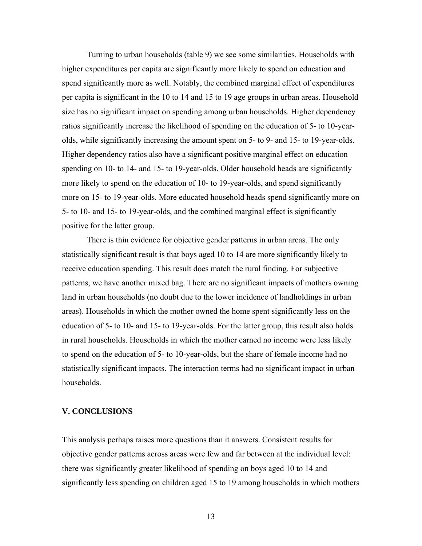Turning to urban households (table 9) we see some similarities. Households with higher expenditures per capita are significantly more likely to spend on education and spend significantly more as well. Notably, the combined marginal effect of expenditures per capita is significant in the 10 to 14 and 15 to 19 age groups in urban areas. Household size has no significant impact on spending among urban households. Higher dependency ratios significantly increase the likelihood of spending on the education of 5- to 10-yearolds, while significantly increasing the amount spent on 5- to 9- and 15- to 19-year-olds. Higher dependency ratios also have a significant positive marginal effect on education spending on 10- to 14- and 15- to 19-year-olds. Older household heads are significantly more likely to spend on the education of 10- to 19-year-olds, and spend significantly more on 15- to 19-year-olds. More educated household heads spend significantly more on 5- to 10- and 15- to 19-year-olds, and the combined marginal effect is significantly positive for the latter group.

There is thin evidence for objective gender patterns in urban areas. The only statistically significant result is that boys aged 10 to 14 are more significantly likely to receive education spending. This result does match the rural finding. For subjective patterns, we have another mixed bag. There are no significant impacts of mothers owning land in urban households (no doubt due to the lower incidence of landholdings in urban areas). Households in which the mother owned the home spent significantly less on the education of 5- to 10- and 15- to 19-year-olds. For the latter group, this result also holds in rural households. Households in which the mother earned no income were less likely to spend on the education of 5- to 10-year-olds, but the share of female income had no statistically significant impacts. The interaction terms had no significant impact in urban households.

#### **V. CONCLUSIONS**

This analysis perhaps raises more questions than it answers. Consistent results for objective gender patterns across areas were few and far between at the individual level: there was significantly greater likelihood of spending on boys aged 10 to 14 and significantly less spending on children aged 15 to 19 among households in which mothers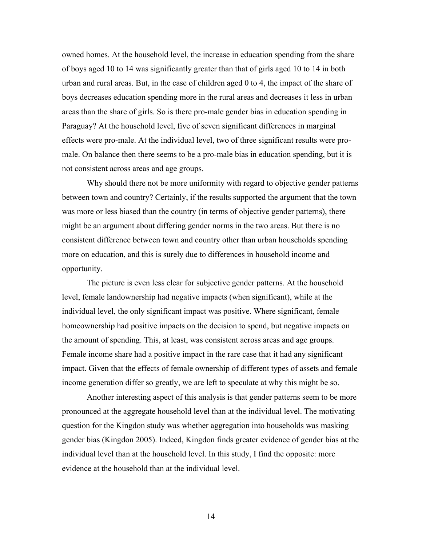owned homes. At the household level, the increase in education spending from the share of boys aged 10 to 14 was significantly greater than that of girls aged 10 to 14 in both urban and rural areas. But, in the case of children aged 0 to 4, the impact of the share of boys decreases education spending more in the rural areas and decreases it less in urban areas than the share of girls. So is there pro-male gender bias in education spending in Paraguay? At the household level, five of seven significant differences in marginal effects were pro-male. At the individual level, two of three significant results were promale. On balance then there seems to be a pro-male bias in education spending, but it is not consistent across areas and age groups.

Why should there not be more uniformity with regard to objective gender patterns between town and country? Certainly, if the results supported the argument that the town was more or less biased than the country (in terms of objective gender patterns), there might be an argument about differing gender norms in the two areas. But there is no consistent difference between town and country other than urban households spending more on education, and this is surely due to differences in household income and opportunity.

The picture is even less clear for subjective gender patterns. At the household level, female landownership had negative impacts (when significant), while at the individual level, the only significant impact was positive. Where significant, female homeownership had positive impacts on the decision to spend, but negative impacts on the amount of spending. This, at least, was consistent across areas and age groups. Female income share had a positive impact in the rare case that it had any significant impact. Given that the effects of female ownership of different types of assets and female income generation differ so greatly, we are left to speculate at why this might be so.

Another interesting aspect of this analysis is that gender patterns seem to be more pronounced at the aggregate household level than at the individual level. The motivating question for the Kingdon study was whether aggregation into households was masking gender bias (Kingdon 2005). Indeed, Kingdon finds greater evidence of gender bias at the individual level than at the household level. In this study, I find the opposite: more evidence at the household than at the individual level.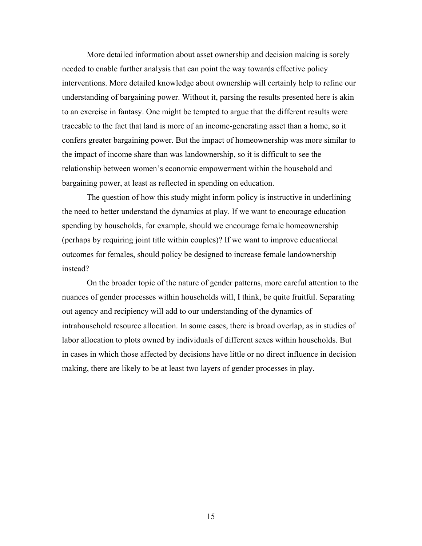More detailed information about asset ownership and decision making is sorely needed to enable further analysis that can point the way towards effective policy interventions. More detailed knowledge about ownership will certainly help to refine our understanding of bargaining power. Without it, parsing the results presented here is akin to an exercise in fantasy. One might be tempted to argue that the different results were traceable to the fact that land is more of an income-generating asset than a home, so it confers greater bargaining power. But the impact of homeownership was more similar to the impact of income share than was landownership, so it is difficult to see the relationship between women's economic empowerment within the household and bargaining power, at least as reflected in spending on education.

The question of how this study might inform policy is instructive in underlining the need to better understand the dynamics at play. If we want to encourage education spending by households, for example, should we encourage female homeownership (perhaps by requiring joint title within couples)? If we want to improve educational outcomes for females, should policy be designed to increase female landownership instead?

On the broader topic of the nature of gender patterns, more careful attention to the nuances of gender processes within households will, I think, be quite fruitful. Separating out agency and recipiency will add to our understanding of the dynamics of intrahousehold resource allocation. In some cases, there is broad overlap, as in studies of labor allocation to plots owned by individuals of different sexes within households. But in cases in which those affected by decisions have little or no direct influence in decision making, there are likely to be at least two layers of gender processes in play.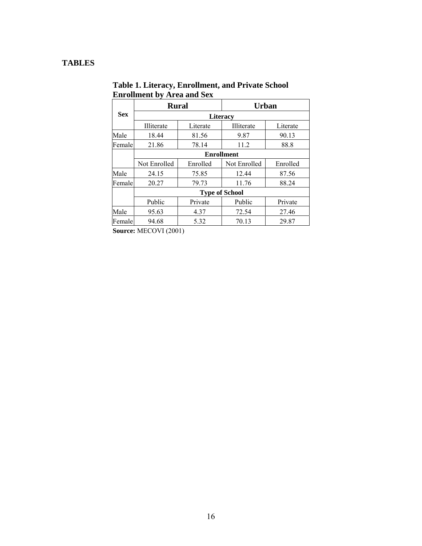## **TABLES**

|            | <b>Rural</b>          |                 | <b>Urban</b> |          |  |  |  |  |  |  |  |
|------------|-----------------------|-----------------|--------------|----------|--|--|--|--|--|--|--|
| <b>Sex</b> |                       | <b>Literacy</b> |              |          |  |  |  |  |  |  |  |
|            | Illiterate            | Literate        | Illiterate   | Literate |  |  |  |  |  |  |  |
| Male       | 18.44                 | 81.56           | 9.87         | 90.13    |  |  |  |  |  |  |  |
| Female     | 21.86                 | 78.14           | 11.2         | 88.8     |  |  |  |  |  |  |  |
|            | <b>Enrollment</b>     |                 |              |          |  |  |  |  |  |  |  |
|            | Not Enrolled          | Enrolled        | Not Enrolled | Enrolled |  |  |  |  |  |  |  |
| Male       | 24.15                 | 75.85           | 12.44        | 87.56    |  |  |  |  |  |  |  |
| Female     | 20.27                 | 79.73           | 11.76        | 88.24    |  |  |  |  |  |  |  |
|            | <b>Type of School</b> |                 |              |          |  |  |  |  |  |  |  |
|            | Public                | Private         | Public       | Private  |  |  |  |  |  |  |  |
| Male       | 95.63                 | 4.37            | 72.54        | 27.46    |  |  |  |  |  |  |  |
| Femalel    | 94.68                 | 5.32            | 70.13        | 29.87    |  |  |  |  |  |  |  |

**Table 1. Literacy, Enrollment, and Private School Enrollment by Area and Sex**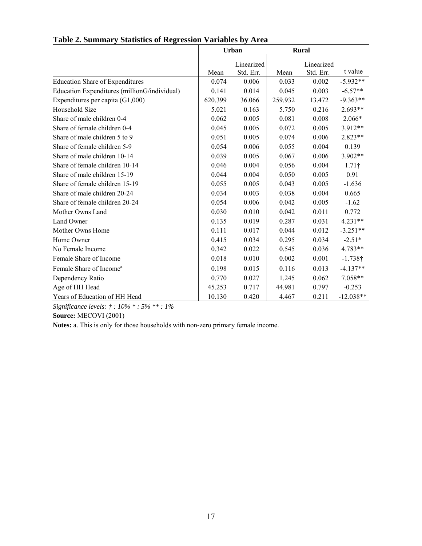|                                              |         | <b>Urban</b> | <b>Rural</b> |            |                 |
|----------------------------------------------|---------|--------------|--------------|------------|-----------------|
|                                              |         | Linearized   |              | Linearized |                 |
|                                              | Mean    | Std. Err.    | Mean         | Std. Err.  | t value         |
| <b>Education Share of Expenditures</b>       | 0.074   | 0.006        | 0.033        | 0.002      | $-5.932**$      |
| Education Expenditures (millionG/individual) | 0.141   | 0.014        | 0.045        | 0.003      | $-6.57**$       |
| Expenditures per capita $(G1,000)$           | 620.399 | 36.066       | 259.932      | 13.472     | $-9.363**$      |
| Household Size                               | 5.021   | 0.163        | 5.750        | 0.216      | $2.693**$       |
| Share of male children 0-4                   | 0.062   | 0.005        | 0.081        | 0.008      | 2.066*          |
| Share of female children 0-4                 | 0.045   | 0.005        | 0.072        | 0.005      | 3.912**         |
| Share of male children 5 to 9                | 0.051   | 0.005        | 0.074        | 0.006      | $2.823**$       |
| Share of female children 5-9                 | 0.054   | 0.006        | 0.055        | 0.004      | 0.139           |
| Share of male children 10-14                 | 0.039   | 0.005        | 0.067        | 0.006      | 3.902**         |
| Share of female children 10-14               | 0.046   | 0.004        | 0.056        | 0.004      | $1.71\dagger$   |
| Share of male children 15-19                 | 0.044   | 0.004        | 0.050        | 0.005      | 0.91            |
| Share of female children 15-19               | 0.055   | 0.005        | 0.043        | 0.005      | $-1.636$        |
| Share of male children 20-24                 | 0.034   | 0.003        | 0.038        | 0.004      | 0.665           |
| Share of female children 20-24               | 0.054   | 0.006        | 0.042        | 0.005      | $-1.62$         |
| Mother Owns Land                             | 0.030   | 0.010        | 0.042        | 0.011      | 0.772           |
| Land Owner                                   | 0.135   | 0.019        | 0.287        | 0.031      | $4.231**$       |
| Mother Owns Home                             | 0.111   | 0.017        | 0.044        | 0.012      | $-3.251**$      |
| Home Owner                                   | 0.415   | 0.034        | 0.295        | 0.034      | $-2.51*$        |
| No Female Income                             | 0.342   | 0.022        | 0.545        | 0.036      | 4.783**         |
| Female Share of Income                       | 0.018   | 0.010        | 0.002        | 0.001      | $-1.738\dagger$ |
| Female Share of Income <sup>a</sup>          | 0.198   | 0.015        | 0.116        | 0.013      | $-4.137**$      |
| Dependency Ratio                             | 0.770   | 0.027        | 1.245        | 0.062      | 7.058**         |
| Age of HH Head                               | 45.253  | 0.717        | 44.981       | 0.797      | $-0.253$        |
| Years of Education of HH Head                | 10.130  | 0.420        | 4.467        | 0.211      | $-12.038**$     |

## **Table 2. Summary Statistics of Regression Variables by Area**

*Significance levels: † : 10% \* : 5% \*\* : 1%* 

**Source:** MECOVI (2001)

**Notes:** a. This is only for those households with non-zero primary female income.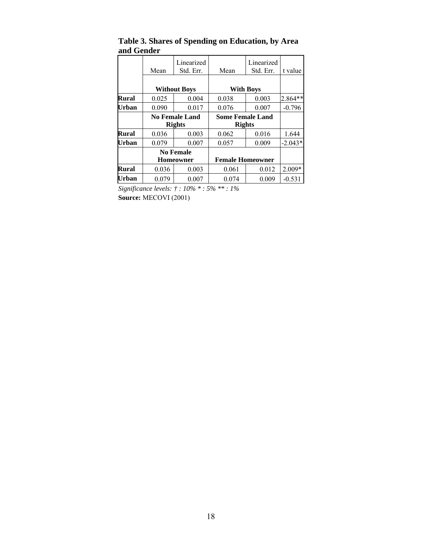|       |                  | Linearized            |                         | Linearized       |           |
|-------|------------------|-----------------------|-------------------------|------------------|-----------|
|       | Mean             | Std. Err.             | Mean                    | Std. Err.        | t value   |
|       |                  |                       |                         |                  |           |
|       |                  | <b>Without Boys</b>   |                         | <b>With Boys</b> |           |
| Rural | 0.025            | 0.004                 | 0.038                   | 0.003            | 2.864**   |
| Urban | 0.090            | 0.017                 | 0.076                   | 0.007            | $-0.796$  |
|       |                  | <b>No Female Land</b> | <b>Some Female Land</b> |                  |           |
|       |                  | <b>Rights</b>         | <b>Rights</b>           |                  |           |
| Rural | 0.036            | 0.003                 | 0.062                   | 0.016            | 1.644     |
| Urban | 0.079            | 0.007                 | 0.057                   | 0.009            | $-2.043*$ |
|       | <b>No Female</b> |                       |                         |                  |           |
|       |                  | <b>Homeowner</b>      | <b>Female Homeowner</b> |                  |           |
| Rural | 0.036            | 0.003                 | 0.061                   | 0.012            | $2.009*$  |
| Urban | 0.079            | 0.007                 | 0.074                   | 0.009            | $-0.531$  |

**Table 3. Shares of Spending on Education, by Area and Gender** 

*Significance levels: † : 10% \* : 5% \*\* : 1%*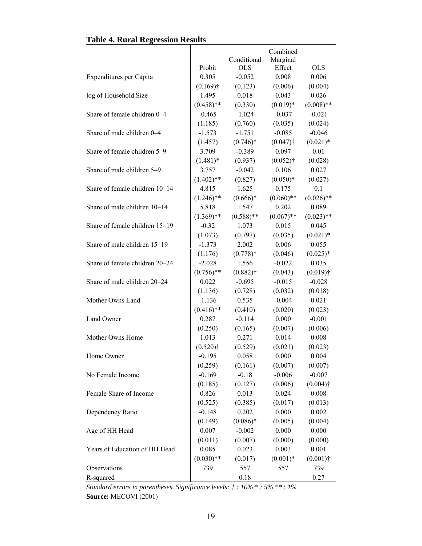|                                |              | Conditional  | Combined<br>Marginal    |              |
|--------------------------------|--------------|--------------|-------------------------|--------------|
|                                | Probit       | <b>OLS</b>   | Effect                  | <b>OLS</b>   |
| Expenditures per Capita        | 0.305        | $-0.052$     | 0.008                   | 0.006        |
|                                | $(0.169)$ †  | (0.123)      | (0.006)                 | (0.004)      |
| log of Household Size          | 1.495        | 0.018        | 0.043                   | 0.026        |
|                                | $(0.458)$ ** | (0.330)      | $(0.019)*$              | $(0.008)$ ** |
| Share of female children 0-4   | $-0.465$     | $-1.024$     | $-0.037$                | $-0.021$     |
| Share of male children 0–4     | (1.185)      | (0.760)      | (0.035)                 | (0.024)      |
|                                | $-1.573$     | $-1.751$     | $-0.085$<br>$(0.047)$ † | $-0.046$     |
|                                | (1.457)      | $(0.746)^*$  |                         | $(0.021)*$   |
| Share of female children 5-9   | 3.709        | $-0.389$     | 0.097                   | 0.01         |
|                                | $(1.481)^*$  | (0.937)      | $(0.052)$ †             | (0.028)      |
| Share of male children 5-9     | 3.757        | $-0.042$     | 0.106                   | 0.027        |
|                                | $(1.402)$ ** | (0.827)      | $(0.050)*$              | (0.027)      |
| Share of female children 10-14 | 4.815        | 1.625        | 0.175                   | 0.1          |
|                                | $(1.246)$ ** | $(0.666)*$   | $(0.060)$ **            | $(0.026)$ ** |
| Share of male children 10–14   | 5.818        | 1.547        | 0.202                   | 0.089        |
|                                | $(1.369)$ ** | $(0.588)$ ** | $(0.067)$ **            | $(0.023)$ ** |
| Share of female children 15-19 | $-0.32$      | 1.073        | 0.015                   | 0.045        |
|                                | (1.073)      | (0.797)      | (0.035)                 | $(0.021)$ *  |
| Share of male children 15-19   | $-1.373$     | 2.002        | 0.006                   | 0.055        |
|                                | (1.176)      | $(0.778)*$   | (0.046)                 | $(0.025)*$   |
| Share of female children 20-24 | $-2.028$     | 1.556        | $-0.022$                | 0.035        |
|                                | $(0.756)$ ** | $(0.882)$ †  | (0.043)                 | $(0.019)$ †  |
| Share of male children 20-24   | 0.022        | $-0.695$     | $-0.015$                | $-0.028$     |
|                                | (1.136)      | (0.728)      | (0.032)                 | (0.018)      |
| Mother Owns Land               | $-1.136$     | 0.535        | $-0.004$                | 0.021        |
|                                | $(0.416)$ ** | (0.410)      | (0.020)                 | (0.023)      |
| Land Owner                     | 0.287        | $-0.114$     | 0.000                   | $-0.001$     |
|                                | (0.250)      | (0.165)      | (0.007)                 | (0.006)      |
| Mother Owns Home               | 1.013        | 0.271        | 0.014                   | 0.008        |
|                                | $(0.520)$ †  | (0.529)      | (0.021)                 | (0.023)      |
| Home Owner                     | $-0.195$     | 0.058        | 0.000                   | 0.004        |
|                                | (0.259)      | (0.161)      | (0.007)                 | (0.007)      |
| No Female Income               | $-0.169$     | $-0.18$      | $-0.006$                | $-0.007$     |
|                                | (0.185)      | (0.127)      | (0.006)                 | $(0.004)$ †  |
| Female Share of Income         | 0.826        | 0.013        | 0.024                   | 0.008        |
|                                | (0.525)      | (0.385)      | (0.017)                 | (0.013)      |
| Dependency Ratio               | $-0.148$     | 0.202        | 0.000                   | 0.002        |
|                                | (0.149)      | $(0.086)*$   | (0.005)                 | (0.004)      |
| Age of HH Head                 | 0.007        | $-0.002$     | 0.000                   | 0.000        |
|                                | (0.011)      | (0.007)      | (0.000)                 | (0.000)      |
| Years of Education of HH Head  | 0.085        | 0.023        | 0.003                   | 0.001        |
|                                | $(0.030)**$  | (0.017)      | $(0.001)*$              | $(0.001)$ †  |
| Observations                   | 739          | 557          | 557                     | 739          |
| R-squared                      |              | $0.18\,$     |                         | 0.27         |

 $\overline{\phantom{a}}$ 

# **Table 4. Rural Regression Results**

*Standard errors in parentheses. Significance levels: † : 10% \* : 5% \*\* : 1%*  **Source:** MECOVI (2001)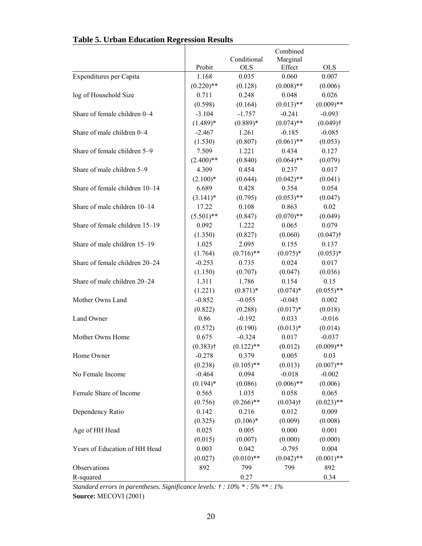# **Table 5. Urban Education Regression Results**

|                                |              |                           | Combined           |                        |
|--------------------------------|--------------|---------------------------|--------------------|------------------------|
|                                | Probit       | Conditional<br><b>OLS</b> | Marginal<br>Effect | <b>OLS</b>             |
| Expenditures per Capita        | 1.168        | 0.035                     | 0.060              | 0.007                  |
|                                | $(0.220)$ ** | (0.128)                   | $(0.008)$ **       | (0.006)                |
| log of Household Size          | 0.711        | 0.248                     | 0.048              | 0.026                  |
|                                | (0.598)      | (0.164)                   | $(0.013)$ **       | $(0.009)$ **           |
| Share of female children 0-4   | $-3.104$     | $-1.757$                  | $-0.241$           | $-0.093$               |
|                                | $(1.489)*$   | $(0.889)*$                | $(0.074)$ **       | $(0.049)$ <sup>†</sup> |
| Share of male children 0-4     | $-2.467$     | 1.261                     | $-0.185$           | $-0.085$               |
|                                | (1.530)      | (0.807)                   | $(0.061)$ **       | (0.053)                |
| Share of female children 5-9   | 7.509        | 1.221                     | 0.434              | 0.127                  |
|                                | $(2.400)$ ** | (0.840)                   | $(0.064)$ **       | (0.079)                |
| Share of male children 5-9     | 4.309        | 0.454                     | 0.237              | 0.017                  |
|                                | $(2.100)*$   | (0.644)                   | $(0.042)$ **       | (0.041)                |
| Share of female children 10-14 | 6.689        | 0.428                     | 0.354              | 0.054                  |
|                                | $(3.141)^*$  | (0.795)                   | $(0.053)$ **       | (0.047)                |
| Share of male children 10-14   | 17.22        | 0.108                     | 0.863              | 0.02                   |
|                                | $(5.501)$ ** | (0.847)                   | $(0.070)$ **       | (0.049)                |
| Share of female children 15-19 | 0.092        | 1.222                     | 0.065              | 0.079                  |
|                                | (1.350)      | (0.827)                   | (0.060)            | $(0.047)$ †            |
| Share of male children 15-19   | 1.025        | 2.095                     | 0.155              | 0.137                  |
|                                | (1.764)      | $(0.716)$ **              | $(0.075)*$         | $(0.053)*$             |
| Share of female children 20-24 | $-0.253$     | 0.735                     | 0.024              | 0.017                  |
|                                | (1.150)      | (0.707)                   | (0.047)            | (0.036)                |
| Share of male children 20-24   | 1.311        | 1.786                     | 0.154              | 0.15                   |
|                                | (1.221)      | $(0.871)^*$               | $(0.074)$ *        | $(0.055)$ **           |
| Mother Owns Land               | $-0.852$     | $-0.055$                  | $-0.045$           | 0.002                  |
|                                | (0.822)      | (0.288)                   | $(0.017)*$         | (0.018)                |
| Land Owner                     | 0.86         | $-0.192$                  | 0.033              | $-0.016$               |
|                                | (0.572)      | (0.190)                   | $(0.013)*$         | (0.014)                |
| Mother Owns Home               | 0.675        | $-0.324$                  | 0.017              | $-0.037$               |
|                                | $(0.383)$ †  | $(0.122)$ **              | (0.012)            | $(0.009)$ **           |
| Home Owner                     | $-0.278$     | 0.379                     | 0.005              | 0.03                   |
|                                | (0.238)      | $(0.105)$ **              | (0.013)            | $(0.007)$ **           |
| No Female Income               | $-0.464$     | 0.094                     | $-0.018$           | $-0.002$               |
|                                | $(0.194)$ *  | (0.086)                   | $(0.006)$ **       | (0.006)                |
| Female Share of Income         | 0.565        | 1.035                     | 0.058              | 0.065                  |
|                                | (0.756)      | $(0.266)$ **              | $(0.034)$ †        | $(0.023)$ **           |
| Dependency Ratio               | 0.142        | 0.216                     | 0.012              | 0.009                  |
|                                | (0.325)      | $(0.106)$ *               | (0.009)            | (0.008)                |
| Age of HH Head                 | 0.025        | 0.005                     | 0.000              | 0.001                  |
|                                | (0.015)      | (0.007)                   | (0.000)            | (0.000)                |
| Years of Education of HH Head  | 0.003        | 0.042                     | $-0.795$           | 0.004                  |
|                                | (0.027)      | $(0.010)$ **              | $(0.042)$ **       | $(0.001)$ **           |
| Observations                   | 892          | 799                       | 799                | 892                    |
| R-squared                      |              | 0.27                      |                    | 0.34                   |

L,

*Standard errors in parentheses. Significance levels: † : 10% \* : 5% \*\* : 1%*  **Source:** MECOVI (2001)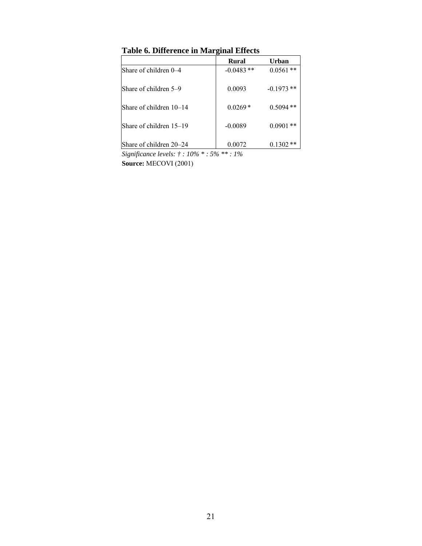|                         | Rural       | Urban        |
|-------------------------|-------------|--------------|
| Share of children 0–4   | $-0.0483**$ | $0.0561**$   |
| Share of children 5–9   | 0.0093      | $-0.1973**$  |
| Share of children 10–14 | $0.0269*$   | $0.5094**$   |
| Share of children 15–19 | $-0.0089$   | $0.0901**$   |
| Share of children 20–24 | 0.0072      | **<br>0.1302 |

## **Table 6. Difference in Marginal Effects**

*Significance levels: † : 10% \* : 5% \*\* : 1%*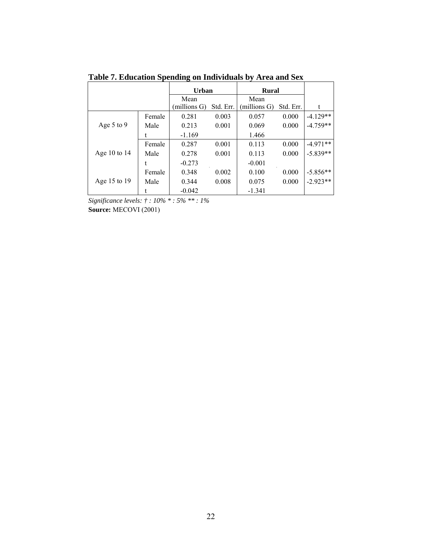| Lable 7. Education Spending on Individuals by Area and Sex |        |              |           |              |           |            |  |  |  |  |
|------------------------------------------------------------|--------|--------------|-----------|--------------|-----------|------------|--|--|--|--|
|                                                            |        | <b>Urban</b> |           | <b>Rural</b> |           |            |  |  |  |  |
|                                                            |        | Mean         |           | Mean         |           |            |  |  |  |  |
|                                                            |        | (millions G) | Std. Err. | millions G)  | Std. Err. | t          |  |  |  |  |
|                                                            | Female | 0.281        | 0.003     | 0.057        | 0.000     | $-4.129**$ |  |  |  |  |
| Age $5$ to $9$                                             | Male   | 0.213        | 0.001     | 0.069        | 0.000     | $-4.759**$ |  |  |  |  |
|                                                            |        | $-1.169$     |           | 1.466        |           |            |  |  |  |  |
|                                                            | Female | 0.287        | 0.001     | 0.113        | 0.000     | $-4.971**$ |  |  |  |  |
| Age 10 to $14$                                             | Male   | 0.278        | 0.001     | 0.113        | 0.000     | $-5.839**$ |  |  |  |  |
|                                                            |        | $-0.273$     |           | $-0.001$     |           |            |  |  |  |  |
|                                                            | Female | 0.348        | 0.002     | 0.100        | 0.000     | $-5.856**$ |  |  |  |  |
| Age 15 to 19                                               | Male   | 0.344        | 0.008     | 0.075        | 0.000     | $-2.923**$ |  |  |  |  |
|                                                            |        | $-0.042$     |           | $-1.341$     |           |            |  |  |  |  |

**Table 7. Education Spending on Individuals by Area and Sex** 

*Significance levels: † : 10% \* : 5% \*\* : 1%*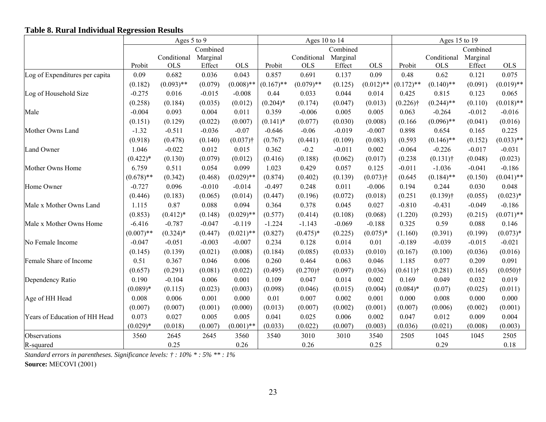## **Table 8. Rural Individual Regression Results**

|                                | Ages 5 to 9  |              |          | Ages 10 to 14 |              |              |          | Ages 15 to 19 |              |              |          |              |
|--------------------------------|--------------|--------------|----------|---------------|--------------|--------------|----------|---------------|--------------|--------------|----------|--------------|
|                                |              |              | Combined |               |              |              | Combined |               |              |              | Combined |              |
|                                |              | Conditional  | Marginal |               |              | Conditional  | Marginal |               |              | Conditional  | Marginal |              |
|                                | Probit       | <b>OLS</b>   | Effect   | <b>OLS</b>    | Probit       | <b>OLS</b>   | Effect   | <b>OLS</b>    | Probit       | <b>OLS</b>   | Effect   | <b>OLS</b>   |
| Log of Expenditures per capita | 0.09         | 0.682        | 0.036    | 0.043         | 0.857        | 0.691        | 0.137    | 0.09          | 0.48         | 0.62         | 0.121    | 0.075        |
|                                | (0.182)      | $(0.093)$ ** | (0.079)  | $(0.008)$ **  | $(0.167)$ ** | $(0.079)$ ** | (0.125)  | $(0.012)$ **  | $(0.172)$ ** | $(0.140)$ ** | (0.091)  | $(0.019)$ ** |
| Log of Household Size          | $-0.275$     | 0.016        | $-0.015$ | $-0.008$      | 0.44         | 0.033        | 0.044    | 0.014         | 0.425        | 0.815        | 0.123    | 0.065        |
|                                | (0.258)      | (0.184)      | (0.035)  | (0.012)       | $(0.204)*$   | (0.174)      | (0.047)  | (0.013)       | $(0.226)$ †  | $(0.244)$ ** | (0.110)  | $(0.018)$ ** |
| Male                           | $-0.004$     | 0.093        | 0.004    | 0.011         | 0.359        | $-0.006$     | 0.005    | 0.005         | 0.063        | $-0.264$     | $-0.012$ | $-0.016$     |
|                                | (0.151)      | (0.129)      | (0.022)  | (0.007)       | $(0.141)*$   | (0.077)      | (0.030)  | (0.008)       | (0.166)      | $(0.096)$ ** | (0.041)  | (0.016)      |
| Mother Owns Land               | $-1.32$      | $-0.511$     | $-0.036$ | $-0.07$       | $-0.646$     | $-0.06$      | $-0.019$ | $-0.007$      | 0.898        | 0.654        | 0.165    | 0.225        |
|                                | (0.918)      | (0.478)      | (0.140)  | $(0.037)$ †   | (0.767)      | (0.441)      | (0.109)  | (0.083)       | (0.593)      | $(0.146)$ ** | (0.152)  | $(0.033)$ ** |
| Land Owner                     | 1.046        | $-0.022$     | 0.012    | 0.015         | 0.362        | $-0.2$       | $-0.011$ | 0.002         | $-0.064$     | $-0.226$     | $-0.017$ | $-0.031$     |
|                                | $(0.422)*$   | (0.130)      | (0.079)  | (0.012)       | (0.416)      | (0.188)      | (0.062)  | (0.017)       | (0.238)      | $(0.131)$ †  | (0.048)  | (0.023)      |
| Mother Owns Home               | 6.759        | 0.511        | 0.054    | 0.099         | 1.023        | 0.429        | 0.057    | 0.125         | $-0.011$     | $-1.036$     | $-0.041$ | $-0.186$     |
|                                | $(0.678)$ ** | (0.342)      | (0.468)  | $(0.029)$ **  | (0.874)      | (0.402)      | (0.139)  | $(0.073)$ †   | (0.645)      | $(0.184)$ ** | (0.150)  | $(0.041)$ ** |
| Home Owner                     | $-0.727$     | 0.096        | $-0.010$ | $-0.014$      | $-0.497$     | 0.248        | 0.011    | $-0.006$      | 0.194        | 0.244        | 0.030    | 0.048        |
|                                | (0.446)      | (0.183)      | (0.065)  | (0.014)       | (0.447)      | (0.196)      | (0.072)  | (0.018)       | (0.251)      | $(0.139)$ †  | (0.055)  | $(0.023)*$   |
| Male x Mother Owns Land        | 1.115        | 0.87         | 0.088    | 0.094         | 0.364        | 0.378        | 0.045    | 0.027         | $-0.810$     | $-0.431$     | $-0.049$ | $-0.186$     |
|                                | (0.853)      | $(0.412)*$   | (0.148)  | $(0.029)$ **  | (0.577)      | (0.414)      | (0.108)  | (0.068)       | (1.220)      | (0.293)      | (0.215)  | $(0.071)$ ** |
| Male x Mother Owns Home        | $-6.416$     | $-0.787$     | $-0.047$ | $-0.119$      | $-1.224$     | $-1.143$     | $-0.069$ | $-0.188$      | 0.325        | 0.59         | 0.088    | 0.146        |
|                                | $(0.007)$ ** | $(0.324)$ *  | (0.447)  | $(0.021)$ **  | (0.827)      | $(0.475)*$   | (0.225)  | $(0.075)*$    | (1.160)      | (0.391)      | (0.199)  | $(0.073)*$   |
| No Female Income               | $-0.047$     | $-0.051$     | $-0.003$ | $-0.007$      | 0.234        | 0.128        | 0.014    | 0.01          | $-0.189$     | $-0.039$     | $-0.015$ | $-0.021$     |
|                                | (0.145)      | (0.139)      | (0.021)  | (0.008)       | (0.184)      | (0.085)      | (0.033)  | (0.010)       | (0.167)      | (0.100)      | (0.036)  | (0.016)      |
| Female Share of Income         | 0.51         | 0.367        | 0.046    | 0.006         | 0.260        | 0.464        | 0.063    | 0.046         | 1.185        | 0.077        | 0.209    | 0.091        |
|                                | (0.657)      | (0.291)      | (0.081)  | (0.022)       | (0.495)      | $(0.270)$ †  | (0.097)  | (0.036)       | $(0.611)$ †  | (0.281)      | (0.165)  | $(0.050)$ †  |
| Dependency Ratio               | 0.190        | $-0.104$     | 0.006    | 0.001         | 0.109        | 0.047        | 0.014    | 0.002         | 0.169        | 0.049        | 0.032    | 0.019        |
|                                | $(0.089)*$   | (0.115)      | (0.023)  | (0.003)       | (0.098)      | (0.046)      | (0.015)  | (0.004)       | $(0.084)$ *  | (0.07)       | (0.025)  | (0.011)      |
| Age of HH Head                 | 0.008        | 0.006        | 0.001    | 0.000         | 0.01         | 0.007        | 0.002    | 0.001         | 0.000        | 0.008        | 0.000    | 0.000        |
|                                | (0.007)      | (0.007)      | (0.001)  | (0.000)       | (0.013)      | (0.007)      | (0.002)  | (0.001)       | (0.007)      | (0.006)      | (0.002)  | (0.001)      |
| Years of Education of HH Head  | 0.073        | 0.027        | 0.005    | 0.005         | 0.041        | 0.025        | 0.006    | 0.002         | 0.047        | 0.012        | 0.009    | 0.004        |
|                                | $(0.029)*$   | (0.018)      | (0.007)  | $(0.001)$ **  | (0.033)      | (0.022)      | (0.007)  | (0.003)       | (0.036)      | (0.021)      | (0.008)  | (0.003)      |
| Observations                   | 3560         | 2645         | 2645     | 3560          | 3540         | 3010         | 3010     | 3540          | 2505         | 1045         | 1045     | 2505         |
| R-squared                      |              | 0.25         |          | 0.26          |              | 0.26         |          | 0.25          |              | 0.29         |          | 0.18         |

*Standard errors in parentheses. Significance levels: † : 10% \* : 5% \*\* : 1%*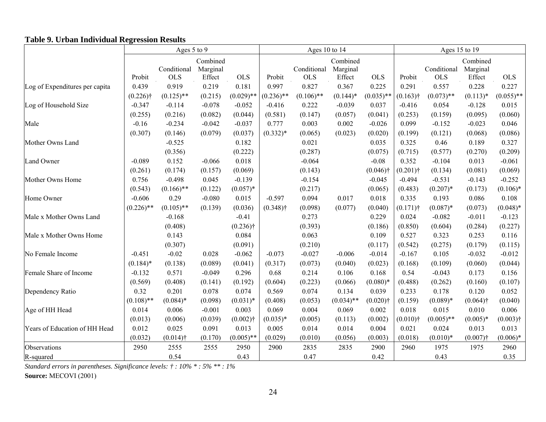## **Table 9. Urban Individual Regression Results**

| radic 2. Ordan murviuuai Kegression Kesuns |              | Ages 5 to 9               |                                |              |              | Ages 10 to 14             |                                |              |             | Ages 15 to 19             |                                |              |
|--------------------------------------------|--------------|---------------------------|--------------------------------|--------------|--------------|---------------------------|--------------------------------|--------------|-------------|---------------------------|--------------------------------|--------------|
|                                            | Probit       | Conditional<br><b>OLS</b> | Combined<br>Marginal<br>Effect | <b>OLS</b>   | Probit       | Conditional<br><b>OLS</b> | Combined<br>Marginal<br>Effect | <b>OLS</b>   | Probit      | Conditional<br><b>OLS</b> | Combined<br>Marginal<br>Effect | <b>OLS</b>   |
| Log of Expenditures per capita             | 0.439        | 0.919                     | 0.219                          | 0.181        | 0.997        | 0.827                     | 0.367                          | 0.225        | 0.291       | 0.557                     | 0.228                          | 0.227        |
|                                            | $(0.226)$ †  | $(0.125)$ **              | (0.215)                        | $(0.029)$ ** | $(0.236)$ ** | $(0.106)$ **              | $(0.144)$ *                    | $(0.035)$ ** | $(0.163)$ † | $(0.073)$ **              | $(0.113)*$                     | $(0.055)$ ** |
| Log of Household Size                      | $-0.347$     | $-0.114$                  | $-0.078$                       | $-0.052$     | $-0.416$     | 0.222                     | $-0.039$                       | 0.037        | $-0.416$    | 0.054                     | $-0.128$                       | 0.015        |
|                                            | (0.255)      | (0.216)                   | (0.082)                        | (0.044)      | (0.581)      | (0.147)                   | (0.057)                        | (0.041)      | (0.253)     | (0.159)                   | (0.095)                        | (0.060)      |
| Male                                       | $-0.16$      | $-0.234$                  | $-0.042$                       | $-0.037$     | 0.777        | 0.003                     | 0.002                          | $-0.026$     | 0.099       | $-0.152$                  | $-0.023$                       | 0.046        |
|                                            | (0.307)      | (0.146)                   | (0.079)                        | (0.037)      | $(0.332)*$   | (0.065)                   | (0.023)                        | (0.020)      | (0.199)     | (0.121)                   | (0.068)                        | (0.086)      |
| Mother Owns Land                           |              | $-0.525$                  |                                | 0.182        |              | 0.021                     |                                | 0.035        | 0.325       | 0.46                      | 0.189                          | 0.327        |
|                                            |              | (0.356)                   |                                | (0.222)      |              | (0.287)                   |                                | (0.075)      | (0.715)     | (0.577)                   | (0.270)                        | (0.209)      |
| Land Owner                                 | $-0.089$     | 0.152                     | $-0.066$                       | 0.018        |              | $-0.064$                  |                                | $-0.08$      | 0.352       | $-0.104$                  | 0.013                          | $-0.061$     |
|                                            | (0.261)      | (0.174)                   | (0.157)                        | (0.069)      |              | (0.143)                   |                                | $(0.046)$ †  | $(0.201)$ † | (0.134)                   | (0.081)                        | (0.069)      |
| Mother Owns Home                           | 0.756        | $-0.498$                  | 0.045                          | $-0.139$     |              | $-0.154$                  |                                | $-0.045$     | $-0.494$    | $-0.531$                  | $-0.143$                       | $-0.252$     |
|                                            | (0.543)      | $(0.166)$ **              | (0.122)                        | $(0.057)*$   |              | (0.217)                   |                                | (0.065)      | (0.483)     | $(0.207)*$                | (0.173)                        | $(0.106)*$   |
| Home Owner                                 | $-0.606$     | 0.29                      | $-0.080$                       | 0.015        | $-0.597$     | 0.094                     | 0.017                          | 0.018        | 0.335       | 0.193                     | 0.086                          | 0.108        |
|                                            | $(0.226)$ ** | $(0.105)$ **              | (0.139)                        | (0.036)      | $(0.348)$ †  | (0.098)                   | (0.077)                        | (0.040)      | $(0.171)$ † | $(0.087)*$                | (0.073)                        | $(0.048)*$   |
| Male x Mother Owns Land                    |              | $-0.168$                  |                                | $-0.41$      |              | 0.273                     |                                | 0.229        | 0.024       | $-0.082$                  | $-0.011$                       | $-0.123$     |
|                                            |              | (0.408)                   |                                | $(0.236)$ †  |              | (0.393)                   |                                | (0.186)      | (0.850)     | (0.604)                   | (0.284)                        | (0.227)      |
| Male x Mother Owns Home                    |              | 0.143                     |                                | 0.084        |              | 0.063                     |                                | 0.109        | 0.527       | 0.323                     | 0.253                          | 0.116        |
|                                            |              | (0.307)                   |                                | (0.091)      |              | (0.210)                   |                                | (0.117)      | (0.542)     | (0.275)                   | (0.179)                        | (0.115)      |
| No Female Income                           | $-0.451$     | $-0.02$                   | 0.028                          | $-0.062$     | $-0.073$     | $-0.027$                  | $-0.006$                       | $-0.014$     | $-0.167$    | 0.105                     | $-0.032$                       | $-0.012$     |
|                                            | $(0.184)$ *  | (0.138)                   | (0.089)                        | (0.041)      | (0.317)      | (0.073)                   | (0.040)                        | (0.023)      | (0.168)     | (0.109)                   | (0.060)                        | (0.044)      |
| Female Share of Income                     | $-0.132$     | 0.571                     | $-0.049$                       | 0.296        | 0.68         | 0.214                     | 0.106                          | 0.168        | 0.54        | $-0.043$                  | 0.173                          | 0.156        |
|                                            | (0.569)      | (0.408)                   | (0.141)                        | (0.192)      | (0.604)      | (0.223)                   | (0.066)                        | $(0.080)*$   | (0.488)     | (0.262)                   | (0.160)                        | (0.107)      |
| Dependency Ratio                           | 0.32         | 0.201                     | 0.078                          | 0.074        | 0.569        | 0.074                     | 0.134                          | 0.039        | 0.233       | 0.178                     | 0.120                          | 0.052        |
|                                            | $(0.108)$ ** | $(0.084)*$                | (0.098)                        | $(0.031)*$   | (0.408)      | (0.053)                   | $(0.034)$ **                   | $(0.020)$ †  | (0.159)     | $(0.089)*$                | $(0.064)$ †                    | (0.040)      |
| Age of HH Head                             | 0.014        | 0.006                     | $-0.001$                       | 0.003        | 0.069        | 0.004                     | 0.069                          | 0.002        | 0.018       | 0.015                     | 0.010                          | 0.006        |
|                                            | (0.013)      | (0.006)                   | (0.039)                        | $(0.002)$ †  | $(0.035)*$   | (0.005)                   | (0.113)                        | (0.002)      | $(0.010)$ † | $(0.005)$ **              | $(0.005)*$                     | $(0.003)$ †  |
| Years of Education of HH Head              | 0.012        | 0.025                     | 0.091                          | 0.013        | 0.005        | 0.014                     | 0.014                          | 0.004        | 0.021       | 0.024                     | 0.013                          | 0.013        |
|                                            | (0.032)      | $(0.014)$ †               | (0.170)                        | $(0.005)$ ** | (0.029)      | (0.010)                   | (0.056)                        | (0.003)      | (0.018)     | $(0.010)*$                | $(0.007)$ †                    | $(0.006)*$   |
| Observations                               | 2950         | 2555                      | 2555                           | 2950         | 2900         | 2835                      | 2835                           | 2900         | 2960        | 1975                      | 1975                           | 2960         |
| R-squared                                  |              | 0.54                      |                                | 0.43         |              | 0.47                      |                                | 0.42         |             | 0.43                      |                                | 0.35         |

*Standard errors in parentheses. Significance levels: † : 10% \* : 5% \*\* : 1%*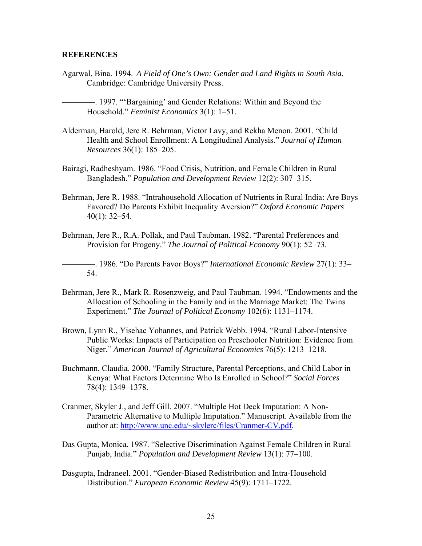#### **REFERENCES**

Agarwal, Bina. 1994. *A Field of One's Own: Gender and Land Rights in South Asia*. Cambridge: Cambridge University Press.

————. 1997. "'Bargaining' and Gender Relations: Within and Beyond the Household." *Feminist Economics* 3(1): 1–51.

- Alderman, Harold, Jere R. Behrman, Victor Lavy, and Rekha Menon. 2001. "Child Health and School Enrollment: A Longitudinal Analysis." *Journal of Human Resources* 36(1): 185–205.
- Bairagi, Radheshyam. 1986. "Food Crisis, Nutrition, and Female Children in Rural Bangladesh." *Population and Development Review* 12(2): 307–315.
- Behrman, Jere R. 1988. "Intrahousehold Allocation of Nutrients in Rural India: Are Boys Favored? Do Parents Exhibit Inequality Aversion?" *Oxford Economic Papers* 40(1): 32–54.
- Behrman, Jere R., R.A. Pollak, and Paul Taubman. 1982. "Parental Preferences and Provision for Progeny." *The Journal of Political Economy* 90(1): 52–73.

————. 1986. "Do Parents Favor Boys?" *International Economic Review* 27(1): 33– 54.

- Behrman, Jere R., Mark R. Rosenzweig, and Paul Taubman. 1994. "Endowments and the Allocation of Schooling in the Family and in the Marriage Market: The Twins Experiment." *The Journal of Political Economy* 102(6): 1131–1174.
- Brown, Lynn R., Yisehac Yohannes, and Patrick Webb. 1994. "Rural Labor-Intensive Public Works: Impacts of Participation on Preschooler Nutrition: Evidence from Niger." *American Journal of Agricultural Economics* 76(5): 1213–1218.
- Buchmann, Claudia. 2000. "Family Structure, Parental Perceptions, and Child Labor in Kenya: What Factors Determine Who Is Enrolled in School?" *Social Forces* 78(4): 1349–1378.
- Cranmer, Skyler J., and Jeff Gill. 2007. "Multiple Hot Deck Imputation: A Non-Parametric Alternative to Multiple Imputation." Manuscript. Available from the author at: http://www.unc.edu/~skylerc/files/Cranmer-CV.pdf.
- Das Gupta, Monica. 1987. "Selective Discrimination Against Female Children in Rural Punjab, India." *Population and Development Review* 13(1): 77–100.
- Dasgupta, Indraneel. 2001. "Gender-Biased Redistribution and Intra-Household Distribution." *European Economic Review* 45(9): 1711–1722.